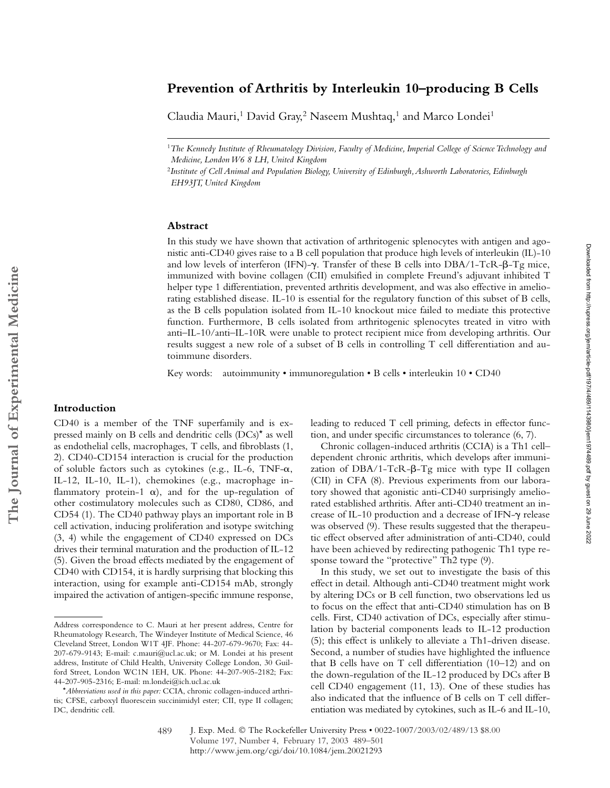# **Prevention of Arthritis by Interleukin 10–producing B Cells**

Claudia Mauri,<sup>1</sup> David Gray,<sup>2</sup> Naseem Mushtaq,<sup>1</sup> and Marco Londei<sup>1</sup>

#### **Abstract**

In this study we have shown that activation of arthritogenic splenocytes with antigen and agonistic anti-CD40 gives raise to a B cell population that produce high levels of interleukin (IL)-10 and low levels of interferon (IFN)- $\gamma$ . Transfer of these B cells into DBA/1-TcR- $\beta$ -Tg mice, immunized with bovine collagen (CII) emulsified in complete Freund's adjuvant inhibited T helper type 1 differentiation, prevented arthritis development, and was also effective in ameliorating established disease. IL-10 is essential for the regulatory function of this subset of B cells, as the B cells population isolated from IL-10 knockout mice failed to mediate this protective function. Furthermore, B cells isolated from arthritogenic splenocytes treated in vitro with anti–IL-10/anti–IL-10R were unable to protect recipient mice from developing arthritis. Our results suggest a new role of a subset of B cells in controlling T cell differentiation and autoimmune disorders.

Key words: autoimmunity • immunoregulation • B cells • interleukin 10 • CD40

# **Introduction**

CD40 is a member of the TNF superfamily and is expressed mainly on B cells and dendritic cells (DCs)\* as well as endothelial cells, macrophages, T cells, and fibroblasts (1, 2). CD40-CD154 interaction is crucial for the production of soluble factors such as cytokines (e.g., IL-6, TNF- $\alpha$ , IL-12, IL-10, IL-1), chemokines (e.g., macrophage inflammatory protein-1  $\alpha$ ), and for the up-regulation of other costimulatory molecules such as CD80, CD86, and CD54 (1). The CD40 pathway plays an important role in B cell activation, inducing proliferation and isotype switching (3, 4) while the engagement of CD40 expressed on DCs drives their terminal maturation and the production of IL-12 (5). Given the broad effects mediated by the engagement of CD40 with CD154, it is hardly surprising that blocking this interaction, using for example anti-CD154 mAb, strongly impaired the activation of antigen-specific immune response, leading to reduced T cell priming, defects in effector function, and under specific circumstances to tolerance (6, 7).

Chronic collagen-induced arthritis (CCIA) is a Th1 cell– dependent chronic arthritis, which develops after immunization of DBA/1-TcR- $\beta$ -Tg mice with type II collagen (CII) in CFA (8). Previous experiments from our laboratory showed that agonistic anti-CD40 surprisingly ameliorated established arthritis. After anti-CD40 treatment an increase of IL-10 production and a decrease of IFN-y release was observed (9). These results suggested that the therapeutic effect observed after administration of anti-CD40, could have been achieved by redirecting pathogenic Th1 type response toward the "protective" Th<sub>2</sub> type (9).

In this study, we set out to investigate the basis of this effect in detail. Although anti-CD40 treatment might work by altering DCs or B cell function, two observations led us to focus on the effect that anti-CD40 stimulation has on B cells. First, CD40 activation of DCs, especially after stimulation by bacterial components leads to IL-12 production (5); this effect is unlikely to alleviate a Th1-driven disease. Second, a number of studies have highlighted the influence that B cells have on T cell differentiation (10–12) and on the down-regulation of the IL-12 produced by DCs after B cell CD40 engagement (11, 13). One of these studies has also indicated that the influence of B cells on T cell differentiation was mediated by cytokines, such as IL-6 and IL-10,

<sup>1</sup>*The Kennedy Institute of Rheumatology Division, Faculty of Medicine, Imperial College of Science Technology and Medicine, London W6 8 LH, United Kingdom*

<sup>2</sup>*Institute of Cell Animal and Population Biology, University of Edinburgh, Ashworth Laboratories, Edinburgh EH93JT, United Kingdom*

Address correspondence to C. Mauri at her present address, Centre for Rheumatology Research, The Windeyer Institute of Medical Science, 46 Cleveland Street, London W1T 4JF. Phone: 44-207-679-9670; Fax: 44- 207-679-9143; E-mail: c.mauri@ucl.ac.uk; or M. Londei at his present address, Institute of Child Health, University College London, 30 Guilford Street, London WC1N 1EH, UK. Phone: 44-207-905-2182; Fax: 44-207-905-2316; E-mail: m.londei@ich.ucl.ac.uk

<sup>\*</sup>*Abbreviations used in this paper:* CCIA, chronic collagen-induced arthritis; CFSE, carboxyl fluorescein succinimidyl ester; CII, type II collagen; DC, dendritic cell.

J. Exp. Med. © The Rockefeller University Press • 0022-1007/2003/02/489/13 \$8.00 Volume 197, Number 4, February 17, 2003 489–501 http://www.jem.org/cgi/doi/10.1084/jem.20021293 489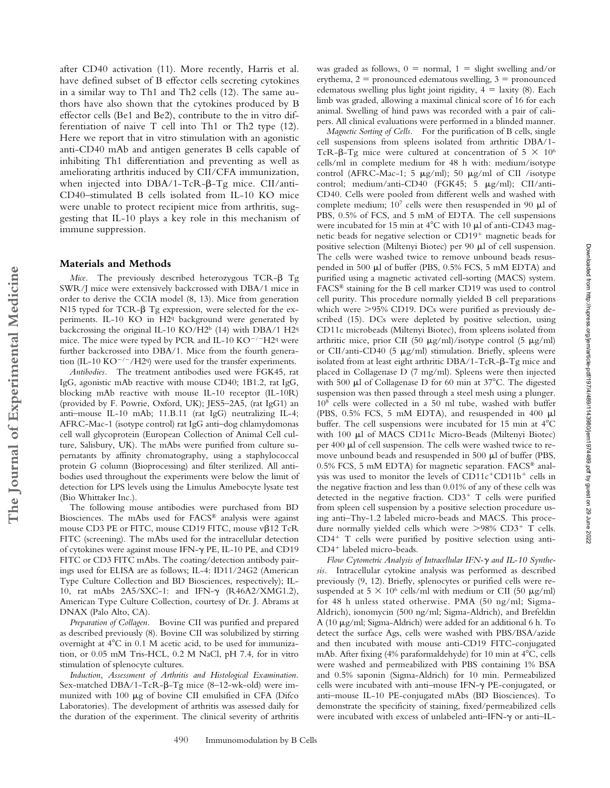after CD40 activation (11). More recently, Harris et al. have defined subset of B effector cells secreting cytokines in a similar way to Th1 and Th2 cells (12). The same authors have also shown that the cytokines produced by B effector cells (Be1 and Be2), contribute to the in vitro differentiation of naive T cell into Th1 or Th2 type (12). Here we report that in vitro stimulation with an agonistic anti-CD40 mAb and antigen generates B cells capable of inhibiting Th1 differentiation and preventing as well as ameliorating arthritis induced by CII/CFA immunization, when injected into  $DBA/1-TcR-\beta-Tg$  mice. CII/anti-CD40–stimulated B cells isolated from IL-10 KO mice were unable to protect recipient mice from arthritis, suggesting that IL-10 plays a key role in this mechanism of immune suppression.

# **Materials and Methods**

**The Journal of Experimental Medicine**

The Journal of Experimental Medicine

Mice. The previously described heterozygous TCR- $\beta$  Tg SWR/J mice were extensively backcrossed with DBA/1 mice in order to derive the CCIA model (8, 13). Mice from generation N15 typed for TCR- $\beta$  Tg expression, were selected for the experiments. IL-10 KO in H2<sup>q</sup> background were generated by backcrossing the original IL-10 KO/H2<sup>b</sup> (14) with DBA/1 H2<sup>q</sup> mice. The mice were typed by PCR and IL-10  $KO^{-/-}H2q$  were further backcrossed into DBA/1. Mice from the fourth generation (IL-10 KO<sup>-/-</sup>/H2q) were used for the transfer experiments.

*Antibodies.* The treatment antibodies used were FGK45, rat IgG, agonistic mAb reactive with mouse CD40; 1B1.2, rat IgG, blocking mAb reactive with mouse IL-10 receptor (IL-10R) (provided by F. Powrie, Oxford, UK); JES5–2A5, (rat IgG1) an anti–mouse IL-10 mAb; 11.B.11 (rat IgG) neutralizing IL-4; AFRC-Mac-1 (isotype control) rat IgG anti–dog chlamydomonas cell wall glycoprotein (European Collection of Animal Cell culture, Salisbury, UK). The mAbs were purified from culture supernatants by affinity chromatography, using a staphylococcal protein G column (Bioprocessing) and filter sterilized. All antibodies used throughout the experiments were below the limit of detection for LPS levels using the Limulus Amebocyte lysate test (Bio Whittaker Inc.).

The following mouse antibodies were purchased from BD Biosciences. The mAbs used for FACS® analysis were against mouse CD3 PE or FITC, mouse CD19 FITC, mouse  $v\beta$ 12 TcR FITC (screening). The mAbs used for the intracellular detection of cytokines were against mouse IFN- $\gamma$  PE, IL-10 PE, and CD19 FITC or CD3 FITC mAbs. The coating/detection antibody pairings used for ELISA are as follows; IL-4: ID11/24G2 (American Type Culture Collection and BD Biosciences, respectively); IL-10, rat mAbs 2A5/SXC-1: and IFN-γ (R46A2/XMG1.2), American Type Culture Collection, courtesy of Dr. J. Abrams at DNAX (Palo Alto, CA).

*Preparation of Collagen.* Bovine CII was purified and prepared as described previously (8). Bovine CII was solubilized by stirring overnight at  $4^{\circ}$ C in 0.1 M acetic acid, to be used for immunization, or 0.05 mM Tris-HCL, 0.2 M NaCl, pH 7.4, for in vitro stimulation of splenocyte cultures.

*Induction, Assessment of Arthritis and Histological Examination.* Sex-matched DBA/1-TcR- $\beta$ -Tg mice (8–12-wk-old) were immunized with  $100 \mu g$  of bovine CII emulsified in CFA (Difco Laboratories). The development of arthritis was assessed daily for the duration of the experiment. The clinical severity of arthritis was graded as follows,  $0 =$  normal,  $1 =$  slight swelling and/or erythema,  $2 =$  pronounced edematous swelling,  $3 =$  pronounced edematous swelling plus light joint rigidity,  $4 =$  laxity (8). Each limb was graded, allowing a maximal clinical score of 16 for each animal. Swelling of hind paws was recorded with a pair of calipers. All clinical evaluations were performed in a blinded manner.

*Magnetic Sorting of Cells.* For the purification of B cells, single cell suspensions from spleens isolated from arthritic DBA/1- TcR- $\beta$ -Tg mice were cultured at concentration of 5  $\times$  10<sup>6</sup> cells/ml in complete medium for 48 h with: medium/isotype control (AFRC-Mac-1; 5  $\mu$ g/ml); 50  $\mu$ g/ml of CII /isotype control; medium/anti-CD40 (FGK45; 5  $\mu$ g/ml); CII/anti-CD40. Cells were pooled from different wells and washed with complete medium;  $10<sup>7</sup>$  cells were then resuspended in 90  $\mu$ l of PBS, 0.5% of FCS, and 5 mM of EDTA. The cell suspensions were incubated for 15 min at  $4^{\circ}$ C with 10  $\mu$ l of anti-CD43 magnetic beads for negative selection or CD19 magnetic beads for positive selection (Miltenyi Biotec) per 90  $\mu$ l of cell suspension. The cells were washed twice to remove unbound beads resuspended in 500  $\mu$ l of buffer (PBS, 0.5% FCS, 5 mM EDTA) and purified using a magnetic activated cell-sorting (MACS) system. FACS® staining for the B cell marker CD19 was used to control cell purity. This procedure normally yielded B cell preparations which were  $>$ 95% CD19. DCs were purified as previously described (15). DCs were depleted by positive selection, using CD11c microbeads (Miltenyi Biotec), from spleens isolated from arthritic mice, prior CII (50  $\mu$ g/ml)/isotype control (5  $\mu$ g/ml) or CII/anti-CD40 (5  $\mu$ g/ml) stimulation. Briefly, spleens were isolated from at least eight arthritic  $DBA/1-TCR-P-Tg$  mice and placed in Collagenase D (7 mg/ml). Spleens were then injected with 500  $\mu$ l of Collagenase D for 60 min at 37°C. The digested suspension was then passed through a steel mesh using a plunger. 108 cells were collected in a 50 ml tube, washed with buffer (PBS,  $0.5\%$  FCS, 5 mM EDTA), and resuspended in 400  $\mu$ l buffer. The cell suspensions were incubated for 15 min at  $4^{\circ}$ C with 100 µl of MACS CD11c Micro-Beads (Miltenyi Biotec) per 400  $\mu$ l of cell suspension. The cells were washed twice to remove unbound beads and resuspended in 500  $\mu$ l of buffer (PBS, 0.5% FCS, 5 mM EDTA) for magnetic separation. FACS® analysis was used to monitor the levels of CD11c CD11b cells in the negative fraction and less than 0.01% of any of these cells was detected in the negative fraction. CD3 T cells were purified from spleen cell suspension by a positive selection procedure using anti–Thy-1.2 labeled micro-beads and MACS. This procedure normally yielded cells which were >98% CD3<sup>+</sup> T cells. CD4 T cells were purified by positive selection using anti-CD4 labeled micro-beads.

*Flow Cγtometric Analysis of Intracellular IFN-γ and IL-10 Sγnthesis.* Intracellular cytokine analysis was performed as described previously (9, 12). Briefly, splenocytes or purified cells were resuspended at  $5 \times 10^6$  cells/ml with medium or CII (50  $\mu$ g/ml) for 48 h unless stated otherwise. PMA (50 ng/ml; Sigma-Aldrich), ionomycin (500 ng/ml; Sigma-Aldrich), and Brefeldin A (10  $\mu$ g/ml; Sigma-Aldrich) were added for an additional 6 h. To detect the surface Ags, cells were washed with PBS/BSA/azide and then incubated with mouse anti-CD19 FITC-conjugated mAb. After fixing (4% paraformaldehyde) for 10 min at  $4^{\circ}$ C, cells were washed and permeabilized with PBS containing 1% BSA and 0.5% saponin (Sigma-Aldrich) for 10 min. Permeabilized cells were incubated with anti-mouse IFN- $\gamma$  PE-conjugated, or anti–mouse IL-10 PE-conjugated mAbs (BD Biosciences). To demonstrate the specificity of staining, fixed/permeabilized cells were incubated with excess of unlabeled anti–IFN- $\gamma$  or anti–IL-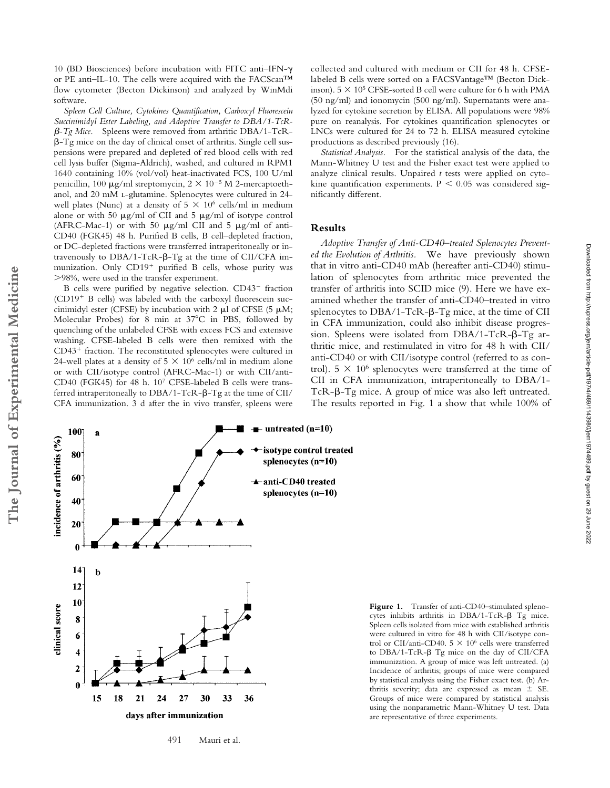10 (BD Biosciences) before incubation with FITC anti–IFN- or PE anti–IL-10. The cells were acquired with the FACScan™ flow cytometer (Becton Dickinson) and analyzed by WinMdi software.

*Spleen Cell Culture, Cytokines Quantification, Carboxyl Fluorescein Succinimidyl Ester Labeling, and Adoptive Transfer to DBA/1-TcR- -Tg Mice.* Spleens were removed from arthritic DBA/1-TcR- -Tg mice on the day of clinical onset of arthritis. Single cell suspensions were prepared and depleted of red blood cells with red cell lysis buffer (Sigma-Aldrich), washed, and cultured in RPM1 1640 containing 10% (vol/vol) heat-inactivated FCS, 100 U/ml penicillin, 100  $\mu$ g/ml streptomycin, 2  $\times$  10<sup>-5</sup> M 2-mercaptoethanol, and 20 mM l-glutamine. Splenocytes were cultured in 24 well plates (Nunc) at a density of  $5 \times 10^6$  cells/ml in medium alone or with 50  $\mu$ g/ml of CII and 5  $\mu$ g/ml of isotype control (AFRC-Mac-1) or with 50  $\mu$ g/ml CII and 5  $\mu$ g/ml of anti-CD40 (FGK45) 48 h. Purified B cells, B cell–depleted fraction, or DC-depleted fractions were transferred intraperitoneally or intravenously to  $DBA/1-TcR-\beta-Tg$  at the time of CII/CFA immunization. Only CD19<sup>+</sup> purified B cells, whose purity was 98%, were used in the transfer experiment.

B cells were purified by negative selection. CD43<sup>-</sup> fraction (CD19<sup>+</sup> B cells) was labeled with the carboxyl fluorescein succinimidyl ester (CFSE) by incubation with 2  $\mu$ l of CFSE (5  $\mu$ M; Molecular Probes) for 8 min at 37°C in PBS, followed by quenching of the unlabeled CFSE with excess FCS and extensive washing. CFSE-labeled B cells were then remixed with the CD43 fraction. The reconstituted splenocytes were cultured in 24-well plates at a density of  $5 \times 10^6$  cells/ml in medium alone or with CII/isotype control (AFRC-Mac-1) or with CII/anti-CD40 (FGK45) for 48 h. 107 CFSE-labeled B cells were transferred intraperitoneally to  $DBA/1- TcR-\beta-Tg$  at the time of CII/ CFA immunization. 3 d after the in vivo transfer, spleens were

collected and cultured with medium or CII for 48 h. CFSElabeled B cells were sorted on a FACSVantage™ (Becton Dickinson).  $5 \times 10^5$  CFSE-sorted B cell were culture for 6 h with PMA (50 ng/ml) and ionomycin (500 ng/ml). Supernatants were analyzed for cytokine secretion by ELISA. All populations were 98% pure on reanalysis. For cytokines quantification splenocytes or LNCs were cultured for 24 to 72 h. ELISA measured cytokine productions as described previously (16).

*Statistical Analysis.* For the statistical analysis of the data, the Mann-Whitney U test and the Fisher exact test were applied to analyze clinical results. Unpaired *t* tests were applied on cytokine quantification experiments.  $P < 0.05$  was considered significantly different.

#### **Results**

*Adoptive Transfer of Anti-CD40–treated Splenocytes Prevented the Evolution of Arthritis.* We have previously shown that in vitro anti-CD40 mAb (hereafter anti-CD40) stimulation of splenocytes from arthritic mice prevented the transfer of arthritis into SCID mice (9). Here we have examined whether the transfer of anti-CD40–treated in vitro splenocytes to  $DBA/1-TcR$ - $\beta$ - $Tg$  mice, at the time of CII in CFA immunization, could also inhibit disease progression. Spleens were isolated from  $DBA/1-TcR-\beta-Tg$  arthritic mice, and restimulated in vitro for 48 h with CII/ anti-CD40 or with CII/isotype control (referred to as control).  $5 \times 10^6$  splenocytes were transferred at the time of CII in CFA immunization, intraperitoneally to DBA/1- TcR- $\beta$ -Tg mice. A group of mice was also left untreated. The results reported in Fig. 1 a show that while 100% of

Downloaded from http://rupress.org/jem/article-pdf/197/4/489/1143980/jem1974489.pdf by guest on 29 June 2022 Downloaded from http://rupress.org/jem/article-pdf/197/4/489/1143980/jem1974489.pdf by guest on 29 June 2022



Figure 1. Transfer of anti-CD40-stimulated splenocytes inhibits arthritis in  $DBA/1- TcR-\beta$  Tg mice. Spleen cells isolated from mice with established arthritis were cultured in vitro for 48 h with CII/isotype control or CII/anti-CD40.  $5 \times 10^6$  cells were transferred to  $DBA/1-TcR-\beta$  Tg mice on the day of CII/CFA immunization. A group of mice was left untreated. (a) Incidence of arthritis; groups of mice were compared by statistical analysis using the Fisher exact test. (b) Arthritis severity; data are expressed as mean  $\pm$  SE. Groups of mice were compared by statistical analysis using the nonparametric Mann-Whitney U test. Data are representative of three experiments.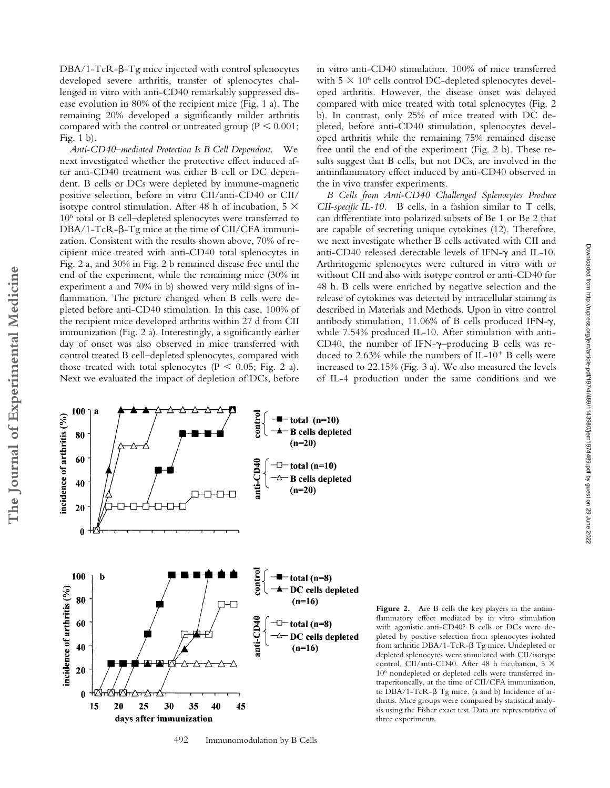$DBA/1-TcR$ - $\beta$ -Tg mice injected with control splenocytes developed severe arthritis, transfer of splenocytes challenged in vitro with anti-CD40 remarkably suppressed disease evolution in 80% of the recipient mice (Fig. 1 a). The remaining 20% developed a significantly milder arthritis compared with the control or untreated group ( $P \leq 0.001$ ; Fig. 1 b).

*Anti-CD40–mediated Protection Is B Cell Dependent.* We next investigated whether the protective effect induced after anti-CD40 treatment was either B cell or DC dependent. B cells or DCs were depleted by immune-magnetic positive selection, before in vitro CII/anti-CD40 or CII/ isotype control stimulation. After 48 h of incubation, 5  $\times$ 106 total or B cell–depleted splenocytes were transferred to  $DBA/1-TCR-\beta-Tg$  mice at the time of CII/CFA immunization. Consistent with the results shown above, 70% of recipient mice treated with anti-CD40 total splenocytes in Fig. 2 a, and 30% in Fig. 2 b remained disease free until the end of the experiment, while the remaining mice (30% in experiment a and 70% in b) showed very mild signs of inflammation. The picture changed when B cells were depleted before anti-CD40 stimulation. In this case, 100% of the recipient mice developed arthritis within 27 d from CII immunization (Fig. 2 a). Interestingly, a significantly earlier day of onset was also observed in mice transferred with control treated B cell–depleted splenocytes, compared with those treated with total splenocytes ( $P < 0.05$ ; Fig. 2 a). Next we evaluated the impact of depletion of DCs, before

in vitro anti-CD40 stimulation. 100% of mice transferred with  $5 \times 10^6$  cells control DC-depleted splenocytes developed arthritis. However, the disease onset was delayed compared with mice treated with total splenocytes (Fig. 2 b). In contrast, only 25% of mice treated with DC depleted, before anti-CD40 stimulation, splenocytes developed arthritis while the remaining 75% remained disease free until the end of the experiment (Fig. 2 b). These results suggest that B cells, but not DCs, are involved in the antiinflammatory effect induced by anti-CD40 observed in the in vivo transfer experiments.

*B Cells from Anti-CD40 Challenged Splenocytes Produce CII-specific IL-10.* B cells, in a fashion similar to T cells, can differentiate into polarized subsets of Be 1 or Be 2 that are capable of secreting unique cytokines (12). Therefore, we next investigate whether B cells activated with CII and anti-CD40 released detectable levels of IFN- $\gamma$  and IL-10. Arthritogenic splenocytes were cultured in vitro with or without CII and also with isotype control or anti-CD40 for 48 h. B cells were enriched by negative selection and the release of cytokines was detected by intracellular staining as described in Materials and Methods. Upon in vitro control antibody stimulation, 11.06% of B cells produced IFN- $\gamma$ , while 7.54% produced IL-10. After stimulation with anti-CD40, the number of IFN- $\gamma$ -producing B cells was reduced to 2.63% while the numbers of IL-10<sup>+</sup> B cells were increased to 22.15% (Fig. 3 a). We also measured the levels of IL-4 production under the same conditions and we



492 Immunomodulation by B Cells

Figure 2. Are B cells the key players in the antiinflammatory effect mediated by in vitro stimulation with agonistic anti-CD40? B cells or DCs were depleted by positive selection from splenocytes isolated from arthritic DBA/1-TcR- $\beta$  Tg mice. Undepleted or depleted splenocytes were stimulated with CII/isotype control, CII/anti-CD40. After 48 h incubation, 5  $\times$ 106 nondepleted or depleted cells were transferred intraperitoneally, at the time of CII/CFA immunization, to DBA/1-TcR- $\beta$  Tg mice. (a and b) Incidence of arthritis. Mice groups were compared by statistical analysis using the Fisher exact test. Data are representative of three experiments.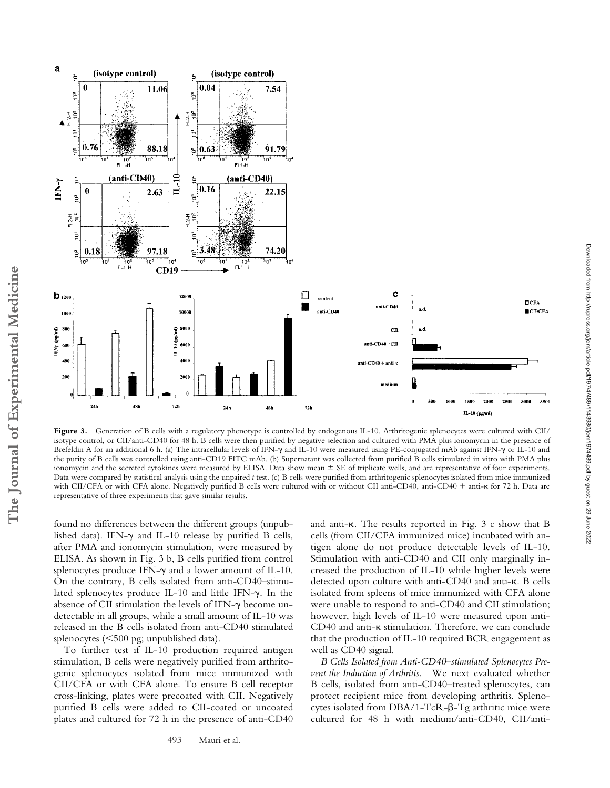

Figure 3. Generation of B cells with a regulatory phenotype is controlled by endogenous IL-10. Arthritogenic splenocytes were cultured with CII/ isotype control, or CII/anti-CD40 for 48 h. B cells were then purified by negative selection and cultured with PMA plus ionomycin in the presence of Brefeldin A for an additional 6 h. (a) The intracellular levels of IFN- $\gamma$  and IL-10 were measured using PE-conjugated mAb against IFN- $\gamma$  or IL-10 and the purity of B cells was controlled using anti-CD19 FITC mAb. (b) Supernatant was collected from purified B cells stimulated in vitro with PMA plus ionomycin and the secreted cytokines were measured by ELISA. Data show mean  $\pm$  SE of triplicate wells, and are representative of four experiments. Data were compared by statistical analysis using the unpaired *t* test. (c) B cells were purified from arthritogenic splenocytes isolated from mice immunized with CII/CFA or with CFA alone. Negatively purified B cells were cultured with or without CII anti-CD40, anti-CD40 + anti-K for 72 h. Data are representative of three experiments that gave similar results.

found no differences between the different groups (unpublished data). IFN- $\gamma$  and IL-10 release by purified B cells, after PMA and ionomycin stimulation, were measured by ELISA. As shown in Fig. 3 b, B cells purified from control splenocytes produce IFN- $\gamma$  and a lower amount of IL-10. On the contrary, B cells isolated from anti-CD40–stimulated splenocytes produce IL-10 and little IFN-y. In the absence of CII stimulation the levels of IFN- $\gamma$  become undetectable in all groups, while a small amount of IL-10 was released in the B cells isolated from anti-CD40 stimulated splenocytes (500 pg; unpublished data).

To further test if IL-10 production required antigen stimulation, B cells were negatively purified from arthritogenic splenocytes isolated from mice immunized with CII/CFA or with CFA alone. To ensure B cell receptor cross-linking, plates were precoated with CII. Negatively purified B cells were added to CII-coated or uncoated plates and cultured for 72 h in the presence of anti-CD40 and anti- $\kappa$ . The results reported in Fig. 3 c show that B cells (from CII/CFA immunized mice) incubated with antigen alone do not produce detectable levels of IL-10. Stimulation with anti-CD40 and CII only marginally increased the production of IL-10 while higher levels were detected upon culture with anti-CD40 and anti- $\kappa$ . B cells isolated from spleens of mice immunized with CFA alone were unable to respond to anti-CD40 and CII stimulation; however, high levels of IL-10 were measured upon anti- $CD40$  and anti- $\kappa$  stimulation. Therefore, we can conclude that the production of IL-10 required BCR engagement as well as CD40 signal.

*B Cells Isolated from Anti-CD40–stimulated Splenocytes Prevent the Induction of Arthritis.* We next evaluated whether B cells, isolated from anti-CD40–treated splenocytes, can protect recipient mice from developing arthritis. Splenocytes isolated from  $DBA/1- TcR-\beta-Tg$  arthritic mice were cultured for 48 h with medium/anti-CD40, CII/antiDownloaded from http://rupress.org/jem/article-pdf/197/4/489/1143980/jem1974489.pdf by guest on 29 June 2022

Downloaded from http://rupress.org/jem/article-pdf/197/4/489/1143980/jem1974489.pdf by guest on 29 June 2022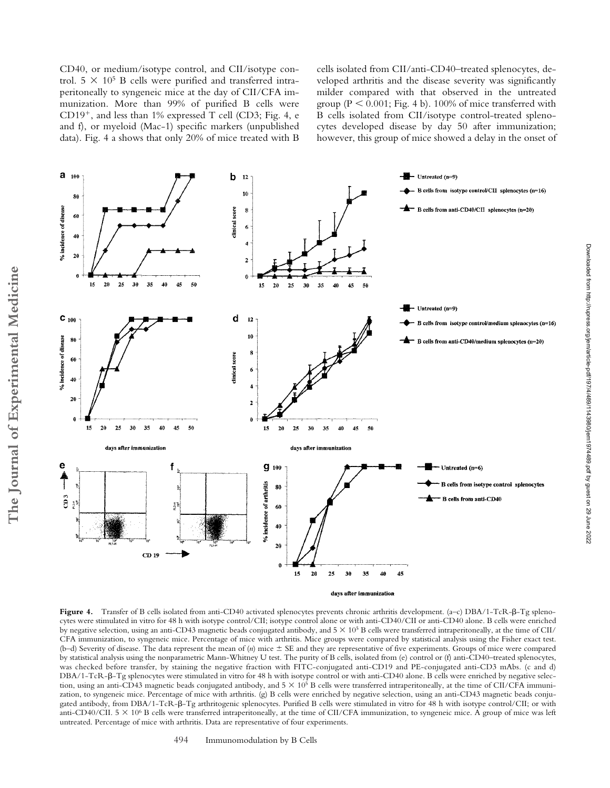CD40, or medium/isotype control, and CII/isotype control.  $5 \times 10^5$  B cells were purified and transferred intraperitoneally to syngeneic mice at the day of CII/CFA immunization. More than 99% of purified B cells were CD19 , and less than 1% expressed T cell (CD3; Fig. 4, e and f), or myeloid (Mac-1) specific markers (unpublished data). Fig. 4 a shows that only 20% of mice treated with B cells isolated from CII/anti-CD40–treated splenocytes, developed arthritis and the disease severity was significantly milder compared with that observed in the untreated group ( $P \le 0.001$ ; Fig. 4 b). 100% of mice transferred with B cells isolated from CII/isotype control-treated splenocytes developed disease by day 50 after immunization; however, this group of mice showed a delay in the onset of



days after immunization

Downloaded from http://rupress.org/jem/article-pdf/197/4/489/1143980/jem1974489.pdf by guest on 29 June 2022

Downloaded from http://rupress.org/jem/article-pdf/197/4/489/1143980/jem1974489.pdf by guest on 29 June 2022

Figure 4. Transfer of B cells isolated from anti-CD40 activated splenocytes prevents chronic arthritis development. (a-c) DBA/1-TcR- $\beta$ -Tg splenocytes were stimulated in vitro for 48 h with isotype control/CII; isotype control alone or with anti-CD40/CII or anti-CD40 alone. B cells were enriched by negative selection, using an anti-CD43 magnetic beads conjugated antibody, and  $5 \times 10^5$  B cells were transferred intraperitoneally, at the time of CII/ CFA immunization, to syngeneic mice. Percentage of mice with arthritis. Mice groups were compared by statistical analysis using the Fisher exact test. (b–d) Severity of disease. The data represent the mean of (*n*) mice  $\pm$  SE and they are representative of five experiments. Groups of mice were compared by statistical analysis using the nonparametric Mann-Whitney U test. The purity of B cells, isolated from (e) control or (f) anti-CD40–treated splenocytes, was checked before transfer, by staining the negative fraction with FITC-conjugated anti-CD19 and PE-conjugated anti-CD3 mAbs. (c and d) DBA/1-TcR- $\beta$ -Tg splenocytes were stimulated in vitro for 48 h with isotype control or with anti-CD40 alone. B cells were enriched by negative selection, using an anti-CD43 magnetic beads conjugated antibody, and  $5 \times 10^5$  B cells were transferred intraperitoneally, at the time of CII/CFA immunization, to syngeneic mice. Percentage of mice with arthritis. (g) B cells were enriched by negative selection, using an anti-CD43 magnetic beads conjugated antibody, from DBA/1-TcR- $\beta$ -Tg arthritogenic splenocytes. Purified B cells were stimulated in vitro for 48 h with isotype control/CII; or with anti-CD40/CII.  $5 \times 10^6$  B cells were transferred intraperitoneally, at the time of CII/CFA immunization, to syngeneic mice. A group of mice was left untreated. Percentage of mice with arthritis. Data are representative of four experiments.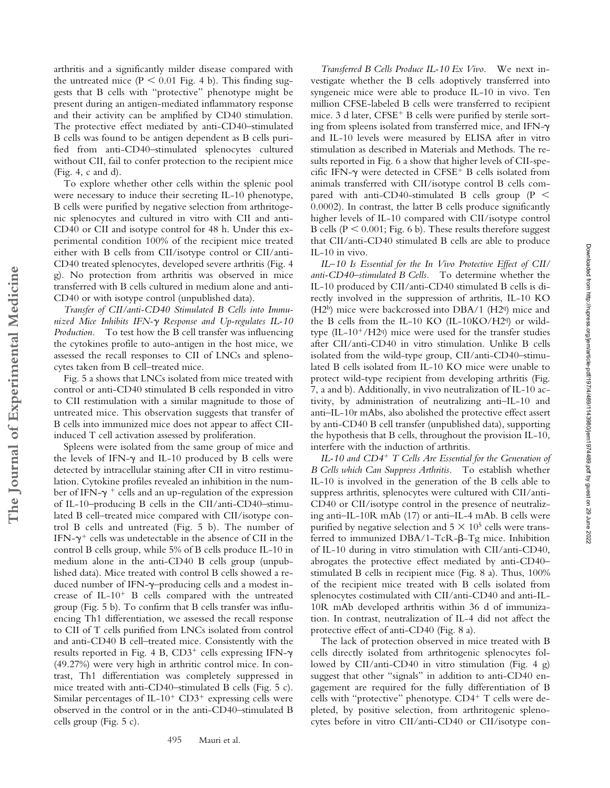arthritis and a significantly milder disease compared with the untreated mice  $(P \le 0.01)$  Fig. 4 b). This finding suggests that B cells with "protective" phenotype might be present during an antigen-mediated inflammatory response and their activity can be amplified by CD40 stimulation. The protective effect mediated by anti-CD40–stimulated B cells was found to be antigen dependent as B cells purified from anti-CD40–stimulated splenocytes cultured without CII, fail to confer protection to the recipient mice (Fig. 4, c and d).

To explore whether other cells within the splenic pool were necessary to induce their secreting IL-10 phenotype, B cells were purified by negative selection from arthritogenic splenocytes and cultured in vitro with CII and anti-CD40 or CII and isotype control for 48 h. Under this experimental condition 100% of the recipient mice treated either with B cells from CII/isotype control or CII/anti-CD40 treated splenocytes, developed severe arthritis (Fig. 4 g). No protection from arthritis was observed in mice transferred with B cells cultured in medium alone and anti-CD40 or with isotype control (unpublished data).

*Transfer of CII/anti-CD40 Stimulated B Cells into Immunized Mice Inhibits IFN-*- *Response and Up-regulates IL-10 Production.* To test how the B cell transfer was influencing the cytokines profile to auto-antigen in the host mice, we assessed the recall responses to CII of LNCs and splenocytes taken from B cell–treated mice.

Fig. 5 a shows that LNCs isolated from mice treated with control or anti-CD40 stimulated B cells responded in vitro to CII restimulation with a similar magnitude to those of untreated mice. This observation suggests that transfer of B cells into immunized mice does not appear to affect CIIinduced T cell activation assessed by proliferation.

**The Journal of Experimental Medicine**

The Journal of Experimental Medicine

Spleens were isolated from the same group of mice and the levels of IFN- $\gamma$  and IL-10 produced by B cells were detected by intracellular staining after CII in vitro restimulation. Cytokine profiles revealed an inhibition in the number of IFN- $\gamma$   $^+$  cells and an up-regulation of the expression of IL-10–producing B cells in the CII/anti-CD40–stimulated B cell–treated mice compared with CII/isotype control B cells and untreated (Fig. 5 b). The number of IFN- $\gamma^+$  cells was undetectable in the absence of CII in the control B cells group, while 5% of B cells produce IL-10 in medium alone in the anti-CD40 B cells group (unpublished data). Mice treated with control B cells showed a reduced number of IFN-y-producing cells and a modest increase of IL-10<sup>+</sup> B cells compared with the untreated group (Fig. 5 b). To confirm that B cells transfer was influencing Th1 differentiation, we assessed the recall response to CII of T cells purified from LNCs isolated from control and anti-CD40 B cell–treated mice. Consistently with the results reported in Fig. 4 B,  $CD3^+$  cells expressing IFN- $\gamma$ (49.27%) were very high in arthritic control mice. In contrast, Th1 differentiation was completely suppressed in mice treated with anti-CD40–stimulated B cells (Fig. 5 c). Similar percentages of  $IL-10^+$   $CD3^+$  expressing cells were observed in the control or in the anti-CD40–stimulated B cells group (Fig. 5 c).

495 Mauri et al.

*Transferred B Cells Produce IL-10 Ex Vivo.* We next investigate whether the B cells adoptively transferred into syngeneic mice were able to produce IL-10 in vivo. Ten million CFSE-labeled B cells were transferred to recipient mice. 3 d later, CFSE B cells were purified by sterile sorting from spleens isolated from transferred mice, and IFN- $\gamma$ and IL-10 levels were measured by ELISA after in vitro stimulation as described in Materials and Methods. The results reported in Fig. 6 a show that higher levels of CII-specific IFN- $\gamma$  were detected in CFSE<sup>+</sup> B cells isolated from animals transferred with CII/isotype control B cells compared with anti-CD40-stimulated B cells group ( $P \le$ 0.0002). In contrast, the latter B cells produce significantly higher levels of IL-10 compared with CII/isotype control B cells ( $P \le 0.001$ ; Fig. 6 b). These results therefore suggest that CII/anti-CD40 stimulated B cells are able to produce IL-10 in vivo.

*IL–10 Is Essential for the In Vivo Protective Effect of CII/ anti-CD40–stimulated B Cells.* To determine whether the IL-10 produced by CII/anti-CD40 stimulated B cells is directly involved in the suppression of arthritis, IL-10 KO  $(H2<sup>b</sup>)$  mice were backcrossed into DBA/1 (H2q) mice and the B cells from the IL-10 KO (IL-10KO/H2q) or wildtype  $(IL-10^+/H2q)$  mice were used for the transfer studies after CII/anti-CD40 in vitro stimulation. Unlike B cells isolated from the wild-type group, CII/anti-CD40–stimulated B cells isolated from IL-10 KO mice were unable to protect wild-type recipient from developing arthritis (Fig. 7, a and b). Additionally, in vivo neutralization of IL-10 activity, by administration of neutralizing anti–IL-10 and anti–IL-10r mAbs, also abolished the protective effect assert by anti-CD40 B cell transfer (unpublished data), supporting the hypothesis that B cells, throughout the provision IL-10, interfere with the induction of arthritis.

*IL-10 and CD4 T Cells Are Essential for the Generation of B Cells which Can Suppress Arthritis.* To establish whether IL-10 is involved in the generation of the B cells able to suppress arthritis, splenocytes were cultured with CII/anti-CD40 or CII/isotype control in the presence of neutralizing anti–IL-10R mAb (17) or anti–IL-4 mAb. B cells were purified by negative selection and  $5 \times 10^5$  cells were transferred to immunized  $DBA/1- TcR-\beta-Tg$  mice. Inhibition of IL-10 during in vitro stimulation with CII/anti-CD40, abrogates the protective effect mediated by anti-CD40– stimulated B cells in recipient mice (Fig. 8 a). Thus, 100% of the recipient mice treated with B cells isolated from splenocytes costimulated with CII/anti-CD40 and anti-IL-10R mAb developed arthritis within 36 d of immunization. In contrast, neutralization of IL-4 did not affect the protective effect of anti-CD40 (Fig. 8 a).

The lack of protection observed in mice treated with B cells directly isolated from arthritogenic splenocytes followed by CII/anti-CD40 in vitro stimulation (Fig. 4 g) suggest that other "signals" in addition to anti-CD40 engagement are required for the fully differentiation of B cells with "protective" phenotype. CD4 T cells were depleted, by positive selection, from arthritogenic splenocytes before in vitro CII/anti-CD40 or CII/isotype con-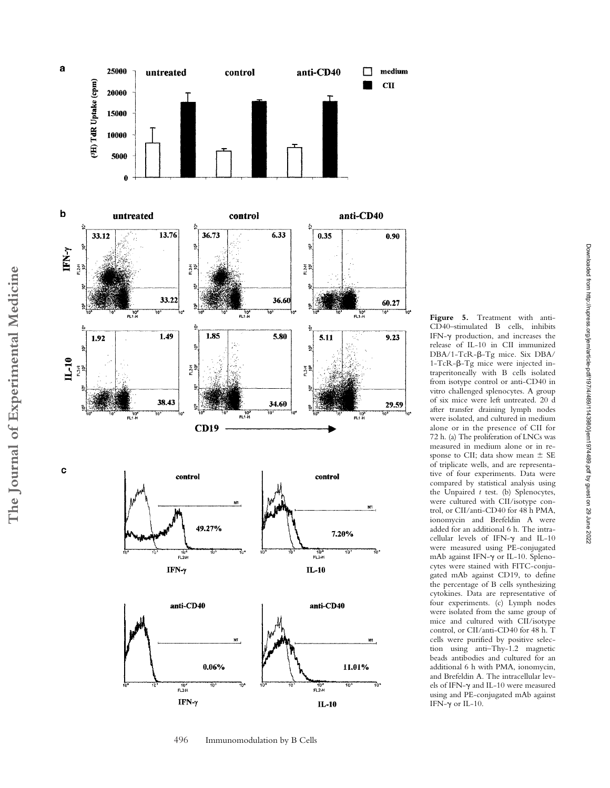

**Figure 5.** Treatment with anti-CD40–stimulated B cells, inhibits IFN- $\gamma$  production, and increases the release of IL-10 in CII immunized DBA/1-TcR-β-Tg mice. Six DBA/  $1-TcR-\beta-Tg$  mice were injected intraperitoneally with B cells isolated from isotype control or anti-CD40 in vitro challenged splenocytes. A group of six mice were left untreated. 20 d after transfer draining lymph nodes were isolated, and cultured in medium alone or in the presence of CII for 72 h. (a) The proliferation of LNCs was measured in medium alone or in response to CII; data show mean  $\pm$  SE of triplicate wells, and are representative of four experiments. Data were compared by statistical analysis using the Unpaired *t* test. (b) Splenocytes, were cultured with CII/isotype control, or CII/anti-CD40 for 48 h PMA, ionomycin and Brefeldin A were added for an additional 6 h. The intracellular levels of IFN- $\gamma$  and IL-10 were measured using PE-conjugated mAb against IFN- $\gamma$  or IL-10. Splenocytes were stained with FITC-conjugated mAb against CD19, to define the percentage of B cells synthesizing cytokines. Data are representative of four experiments. (c) Lymph nodes were isolated from the same group of mice and cultured with CII/isotype control, or CII/anti-CD40 for 48 h. T cells were purified by positive selection using anti–Thy-1.2 magnetic beads antibodies and cultured for an additional 6 h with PMA, ionomycin, and Brefeldin A. The intracellular levels of IFN- $\gamma$  and IL-10 were measured using and PE-conjugated mAb against IFN- $\gamma$  or IL-10.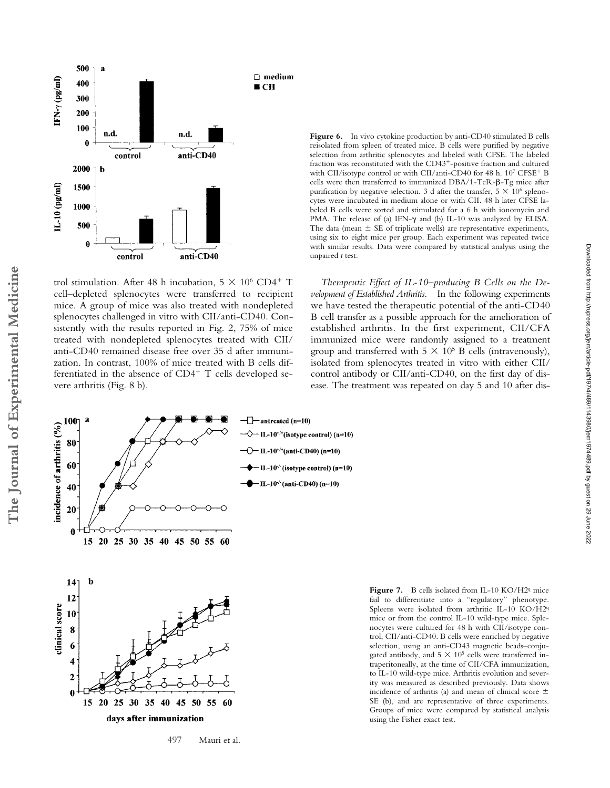

trol stimulation. After 48 h incubation,  $5 \times 10^6$  CD4<sup>+</sup> T cell–depleted splenocytes were transferred to recipient mice. A group of mice was also treated with nondepleted splenocytes challenged in vitro with CII/anti-CD40. Consistently with the results reported in Fig. 2, 75% of mice treated with nondepleted splenocytes treated with CII/ anti-CD40 remained disease free over 35 d after immunization. In contrast, 100% of mice treated with B cells differentiated in the absence of CD4<sup>+</sup> T cells developed severe arthritis (Fig. 8 b).



*Therapeutic Effect of IL-10–producing B Cells on the Development of Established Arthritis.* In the following experiments we have tested the therapeutic potential of the anti-CD40 B cell transfer as a possible approach for the amelioration of established arthritis. In the first experiment, CII/CFA immunized mice were randomly assigned to a treatment group and transferred with  $5 \times 10^5$  B cells (intravenously), isolated from splenocytes treated in vitro with either CII/ control antibody or CII/anti-CD40, on the first day of disease. The treatment was repeated on day 5 and 10 after disDownloaded from http://rupress.org/jem/article-pdf/197/4/489/1143980/jem1974489.pdf by guest on 29 June 2022

Downloaded from http://rupress.org/jem/article-pdf/197/4/489/1143980/jem1974489.pdf by guest on 29 June 2022



Figure 7. B cells isolated from IL-10 KO/H2<sup>q</sup> mice fail to differentiate into a "regulatory" phenotype. Spleens were isolated from arthritic IL-10 KO/H2q mice or from the control IL-10 wild-type mice. Splenocytes were cultured for 48 h with CII/isotype control, CII/anti-CD40. B cells were enriched by negative selection, using an anti-CD43 magnetic beads–conjugated antibody, and  $5 \times 10^5$  cells were transferred intraperitoneally, at the time of CII/CFA immunization, to IL-10 wild-type mice. Arthritis evolution and severity was measured as described previously. Data shows incidence of arthritis (a) and mean of clinical score  $\pm$ SE (b), and are representative of three experiments. Groups of mice were compared by statistical analysis using the Fisher exact test.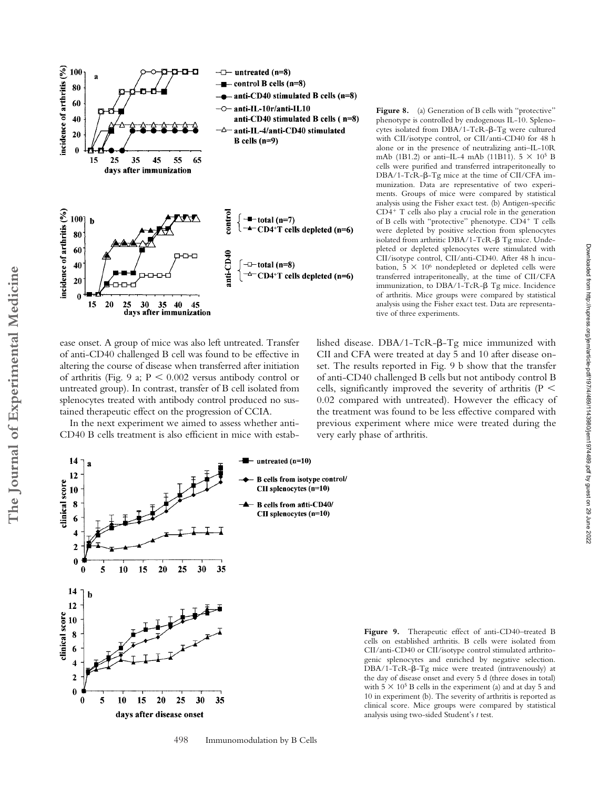

ease onset. A group of mice was also left untreated. Transfer of anti-CD40 challenged B cell was found to be effective in altering the course of disease when transferred after initiation of arthritis (Fig. 9 a;  $P < 0.002$  versus antibody control or untreated group). In contrast, transfer of B cell isolated from splenocytes treated with antibody control produced no sustained therapeutic effect on the progression of CCIA.

In the next experiment we aimed to assess whether anti-CD40 B cells treatment is also efficient in mice with estabFigure 8. (a) Generation of B cells with "protective" phenotype is controlled by endogenous IL-10. Splenocytes isolated from  $DBA/1- TcR-\beta-Tg$  were cultured with CII/isotype control, or CII/anti-CD40 for 48 h alone or in the presence of neutralizing anti–IL-10R mAb (1B1.2) or anti-IL-4 mAb (11B11).  $5 \times 10^5$  B cells were purified and transferred intraperitoneally to  $DBA/1-TCR-\beta-Tg$  mice at the time of CII/CFA immunization. Data are representative of two experiments. Groups of mice were compared by statistical analysis using the Fisher exact test. (b) Antigen-specific CD4 T cells also play a crucial role in the generation of B cells with "protective" phenotype. CD4 T cells were depleted by positive selection from splenocytes isolated from arthritic DBA/1-TcR- $\beta$  Tg mice. Undepleted or depleted splenocytes were stimulated with CII/isotype control, CII/anti-CD40. After 48 h incubation,  $5 \times 10^6$  nondepleted or depleted cells were transferred intraperitoneally, at the time of CII/CFA immunization, to  $DBA/1- TcR-\beta$  Tg mice. Incidence of arthritis. Mice groups were compared by statistical analysis using the Fisher exact test. Data are representative of three experiments.

lished disease.  $DBA/1- TcR-\beta-Tg$  mice immunized with CII and CFA were treated at day 5 and 10 after disease onset. The results reported in Fig. 9 b show that the transfer of anti-CD40 challenged B cells but not antibody control B cells, significantly improved the severity of arthritis ( $P <$ 0.02 compared with untreated). However the efficacy of the treatment was found to be less effective compared with previous experiment where mice were treated during the very early phase of arthritis.

Downloaded from http://rupress.org/jem/article-pdf/197/4/489/1143980/jem1974489.pdf by guest on 29 June 2022

Downloaded from http://rupress.org/jem/article-pdf/1974/4848/1143980/jem1974489.pdf by guest on 29 June 2022



**Figure 9.** Therapeutic effect of anti-CD40–treated B cells on established arthritis. B cells were isolated from CII/anti-CD40 or CII/isotype control stimulated arthritogenic splenocytes and enriched by negative selection.  $DBA/1-TCR-\beta-Tg$  mice were treated (intravenously) at the day of disease onset and every 5 d (three doses in total) with  $5 \times 10^5$  B cells in the experiment (a) and at day 5 and 10 in experiment (b). The severity of arthritis is reported as clinical score. Mice groups were compared by statistical analysis using two-sided Student's *t* test.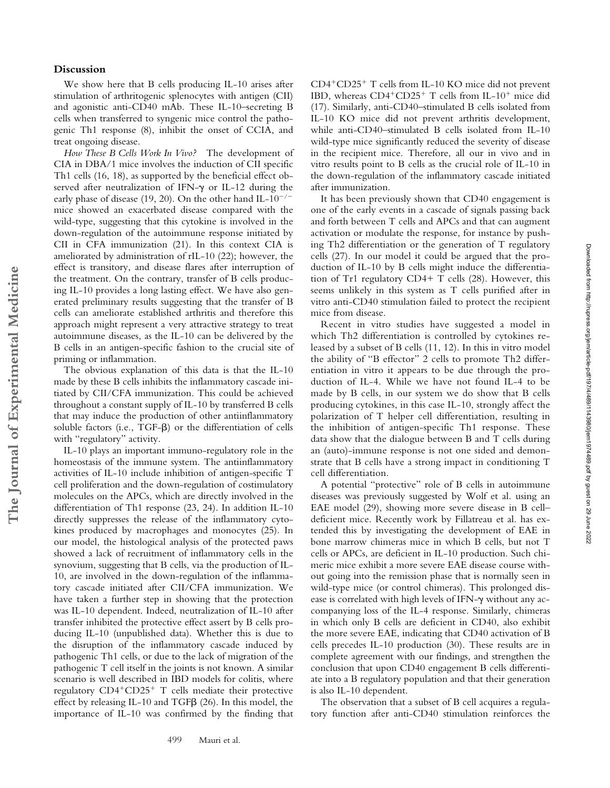## **Discussion**

**The Journal of Experimental Medicine**

The Journal of Experimental Medicine

We show here that B cells producing IL-10 arises after stimulation of arthritogenic splenocytes with antigen (CII) and agonistic anti-CD40 mAb. These IL-10–secreting B cells when transferred to syngenic mice control the pathogenic Th1 response (8), inhibit the onset of CCIA, and treat ongoing disease.

*How These B Cells Work In Vivo?* The development of CIA in DBA/1 mice involves the induction of CII specific Th1 cells (16, 18), as supported by the beneficial effect observed after neutralization of IFN- $\gamma$  or IL-12 during the early phase of disease (19, 20). On the other hand IL- $10^{-/-}$ mice showed an exacerbated disease compared with the wild-type, suggesting that this cytokine is involved in the down-regulation of the autoimmune response initiated by CII in CFA immunization (21). In this context CIA is ameliorated by administration of rIL-10 (22); however, the effect is transitory, and disease flares after interruption of the treatment. On the contrary, transfer of B cells producing IL-10 provides a long lasting effect. We have also generated preliminary results suggesting that the transfer of B cells can ameliorate established arthritis and therefore this approach might represent a very attractive strategy to treat autoimmune diseases, as the IL-10 can be delivered by the B cells in an antigen-specific fashion to the crucial site of priming or inflammation.

The obvious explanation of this data is that the IL-10 made by these B cells inhibits the inflammatory cascade initiated by CII/CFA immunization. This could be achieved throughout a constant supply of IL-10 by transferred B cells that may induce the production of other antiinflammatory soluble factors (i.e.,  $TGF-\beta$ ) or the differentiation of cells with "regulatory" activity.

IL-10 plays an important immuno-regulatory role in the homeostasis of the immune system. The antiinflammatory activities of IL-10 include inhibition of antigen-specific T cell proliferation and the down-regulation of costimulatory molecules on the APCs, which are directly involved in the differentiation of Th1 response (23, 24). In addition IL-10 directly suppresses the release of the inflammatory cytokines produced by macrophages and monocytes (25). In our model, the histological analysis of the protected paws showed a lack of recruitment of inflammatory cells in the synovium, suggesting that B cells, via the production of IL-10, are involved in the down-regulation of the inflammatory cascade initiated after CII/CFA immunization. We have taken a further step in showing that the protection was IL-10 dependent. Indeed, neutralization of IL-10 after transfer inhibited the protective effect assert by B cells producing IL-10 (unpublished data). Whether this is due to the disruption of the inflammatory cascade induced by pathogenic Th1 cells, or due to the lack of migration of the pathogenic T cell itself in the joints is not known. A similar scenario is well described in IBD models for colitis, where regulatory CD4 CD25 T cells mediate their protective effect by releasing IL-10 and TGF $\beta$  (26). In this model, the importance of IL-10 was confirmed by the finding that CD4 CD25 T cells from IL-10 KO mice did not prevent IBD, whereas CD4<sup>+</sup>CD25<sup>+</sup> T cells from IL-10<sup>+</sup> mice did (17). Similarly, anti-CD40–stimulated B cells isolated from IL-10 KO mice did not prevent arthritis development, while anti-CD40–stimulated B cells isolated from IL-10 wild-type mice significantly reduced the severity of disease in the recipient mice. Therefore, all our in vivo and in vitro results point to B cells as the crucial role of IL-10 in the down-regulation of the inflammatory cascade initiated after immunization.

It has been previously shown that CD40 engagement is one of the early events in a cascade of signals passing back and forth between T cells and APCs and that can augment activation or modulate the response, for instance by pushing Th2 differentiation or the generation of T regulatory cells (27). In our model it could be argued that the production of IL-10 by B cells might induce the differentiation of Tr1 regulatory CD4+ T cells (28). However, this seems unlikely in this system as T cells purified after in vitro anti-CD40 stimulation failed to protect the recipient mice from disease.

Recent in vitro studies have suggested a model in which Th2 differentiation is controlled by cytokines released by a subset of B cells (11, 12). In this in vitro model the ability of "B effector" 2 cells to promote Th2 differentiation in vitro it appears to be due through the production of IL-4. While we have not found IL-4 to be made by B cells, in our system we do show that B cells producing cytokines, in this case IL-10, strongly affect the polarization of T helper cell differentiation, resulting in the inhibition of antigen-specific Th1 response. These data show that the dialogue between B and T cells during an (auto)-immune response is not one sided and demonstrate that B cells have a strong impact in conditioning T cell differentiation.

A potential "protective" role of B cells in autoimmune diseases was previously suggested by Wolf et al. using an EAE model (29), showing more severe disease in B cell– deficient mice. Recently work by Fillatreau et al. has extended this by investigating the development of EAE in bone marrow chimeras mice in which B cells, but not T cells or APCs, are deficient in IL-10 production. Such chimeric mice exhibit a more severe EAE disease course without going into the remission phase that is normally seen in wild-type mice (or control chimeras). This prolonged disease is correlated with high levels of IFN- $\gamma$  without any accompanying loss of the IL-4 response. Similarly, chimeras in which only B cells are deficient in CD40, also exhibit the more severe EAE, indicating that CD40 activation of B cells precedes IL-10 production (30). These results are in complete agreement with our findings, and strengthen the conclusion that upon CD40 engagement B cells differentiate into a B regulatory population and that their generation is also IL-10 dependent.

The observation that a subset of B cell acquires a regulatory function after anti-CD40 stimulation reinforces the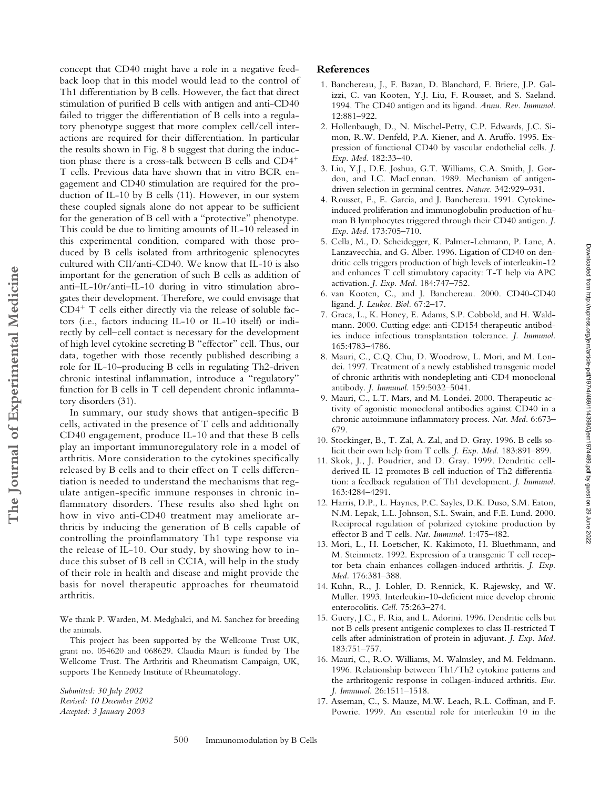concept that CD40 might have a role in a negative feedback loop that in this model would lead to the control of Th1 differentiation by B cells. However, the fact that direct stimulation of purified B cells with antigen and anti-CD40 failed to trigger the differentiation of B cells into a regulatory phenotype suggest that more complex cell/cell interactions are required for their differentiation. In particular the results shown in Fig. 8 b suggest that during the induction phase there is a cross-talk between B cells and CD4 T cells. Previous data have shown that in vitro BCR engagement and CD40 stimulation are required for the production of IL-10 by B cells (11). However, in our system these coupled signals alone do not appear to be sufficient for the generation of B cell with a "protective" phenotype. This could be due to limiting amounts of IL-10 released in this experimental condition, compared with those produced by B cells isolated from arthritogenic splenocytes cultured with CII/anti-CD40. We know that IL-10 is also important for the generation of such B cells as addition of anti–IL-10r/anti–IL-10 during in vitro stimulation abrogates their development. Therefore, we could envisage that CD4 T cells either directly via the release of soluble factors (i.e., factors inducing IL-10 or IL-10 itself) or indirectly by cell–cell contact is necessary for the development of high level cytokine secreting B "effector" cell. Thus, our data, together with those recently published describing a role for IL-10–producing B cells in regulating Th2-driven chronic intestinal inflammation, introduce a "regulatory" function for B cells in T cell dependent chronic inflammatory disorders (31).

In summary, our study shows that antigen-specific B cells, activated in the presence of T cells and additionally CD40 engagement, produce IL-10 and that these B cells play an important immunoregulatory role in a model of arthritis. More consideration to the cytokines specifically released by B cells and to their effect on T cells differentiation is needed to understand the mechanisms that regulate antigen-specific immune responses in chronic inflammatory disorders. These results also shed light on how in vivo anti-CD40 treatment may ameliorate arthritis by inducing the generation of B cells capable of controlling the proinflammatory Th1 type response via the release of IL-10. Our study, by showing how to induce this subset of B cell in CCIA, will help in the study of their role in health and disease and might provide the basis for novel therapeutic approaches for rheumatoid arthritis.

We thank P. Warden, M. Medghalci, and M. Sanchez for breeding the animals.

This project has been supported by the Wellcome Trust UK, grant no. 054620 and 068629. Claudia Mauri is funded by The Wellcome Trust. The Arthritis and Rheumatism Campaign, UK, supports The Kennedy Institute of Rheumatology.

*Submitted: 30 July 2002 Revised: 10 December 2002 Accepted: 3 January 2003*

## **References**

- 1. Banchereau, J., F. Bazan, D. Blanchard, F. Briere, J.P. Galizzi, C. van Kooten, Y.J. Liu, F. Rousset, and S. Saeland. 1994. The CD40 antigen and its ligand. *Annu. Rev. Immunol.* 12:881–922.
- 2. Hollenbaugh, D., N. Mischel-Petty, C.P. Edwards, J.C. Simon, R.W. Denfeld, P.A. Kiener, and A. Aruffo. 1995. Expression of functional CD40 by vascular endothelial cells. *J. Exp. Med.* 182:33–40.
- 3. Liu, Y.J., D.E. Joshua, G.T. Williams, C.A. Smith, J. Gordon, and I.C. MacLennan. 1989. Mechanism of antigendriven selection in germinal centres. *Nature.* 342:929–931.
- 4. Rousset, F., E. Garcia, and J. Banchereau. 1991. Cytokineinduced proliferation and immunoglobulin production of human B lymphocytes triggered through their CD40 antigen. *J. Exp. Med.* 173:705–710.
- 5. Cella, M., D. Scheidegger, K. Palmer-Lehmann, P. Lane, A. Lanzavecchia, and G. Alber. 1996. Ligation of CD40 on dendritic cells triggers production of high levels of interleukin-12 and enhances T cell stimulatory capacity: T-T help via APC activation. *J. Exp. Med.* 184:747–752.
- 6. van Kooten, C., and J. Banchereau. 2000. CD40-CD40 ligand. *J. Leukoc. Biol.* 67:2–17.
- 7. Graca, L., K. Honey, E. Adams, S.P. Cobbold, and H. Waldmann. 2000. Cutting edge: anti-CD154 therapeutic antibodies induce infectious transplantation tolerance. *J. Immunol.* 165:4783–4786.
- 8. Mauri, C., C.Q. Chu, D. Woodrow, L. Mori, and M. Londei. 1997. Treatment of a newly established transgenic model of chronic arthritis with nondepleting anti-CD4 monoclonal antibody. *J. Immunol.* 159:5032–5041.

Downloaded from http://rupress.org/jem/article-pdf/1974/486/1143980/jem1974489.pdf by guest on 29 June 2022 Downloaded from http://rupress.org/jem/article-pdf/197/4/489/1143980/jem1974489.pdf by guest on 29 June 2022

- 9. Mauri, C., L.T. Mars, and M. Londei. 2000. Therapeutic activity of agonistic monoclonal antibodies against CD40 in a chronic autoimmune inflammatory process. *Nat. Med.* 6:673– 679.
- 10. Stockinger, B., T. Zal, A. Zal, and D. Gray. 1996. B cells solicit their own help from T cells. *J. Exp. Med.* 183:891–899.
- 11. Skok, J., J. Poudrier, and D. Gray. 1999. Dendritic cellderived IL-12 promotes B cell induction of Th2 differentiation: a feedback regulation of Th1 development. *J. Immunol.* 163:4284–4291.
- 12. Harris, D.P., L. Haynes, P.C. Sayles, D.K. Duso, S.M. Eaton, N.M. Lepak, L.L. Johnson, S.L. Swain, and F.E. Lund. 2000. Reciprocal regulation of polarized cytokine production by effector B and T cells. *Nat. Immunol.* 1:475–482.
- 13. Mori, L., H. Loetscher, K. Kakimoto, H. Bluethmann, and M. Steinmetz. 1992. Expression of a transgenic T cell receptor beta chain enhances collagen-induced arthritis. *J. Exp. Med.* 176:381–388.
- 14. Kuhn, R., J. Lohler, D. Rennick, K. Rajewsky, and W. Muller. 1993. Interleukin-10-deficient mice develop chronic enterocolitis. *Cell.* 75:263–274.
- 15. Guery, J.C., F. Ria, and L. Adorini. 1996. Dendritic cells but not B cells present antigenic complexes to class II-restricted T cells after administration of protein in adjuvant. *J. Exp. Med.* 183:751–757.
- 16. Mauri, C., R.O. Williams, M. Walmsley, and M. Feldmann. 1996. Relationship between Th1/Th2 cytokine patterns and the arthritogenic response in collagen-induced arthritis. *Eur. J. Immunol.* 26:1511–1518.
- 17. Asseman, C., S. Mauze, M.W. Leach, R.L. Coffman, and F. Powrie. 1999. An essential role for interleukin 10 in the